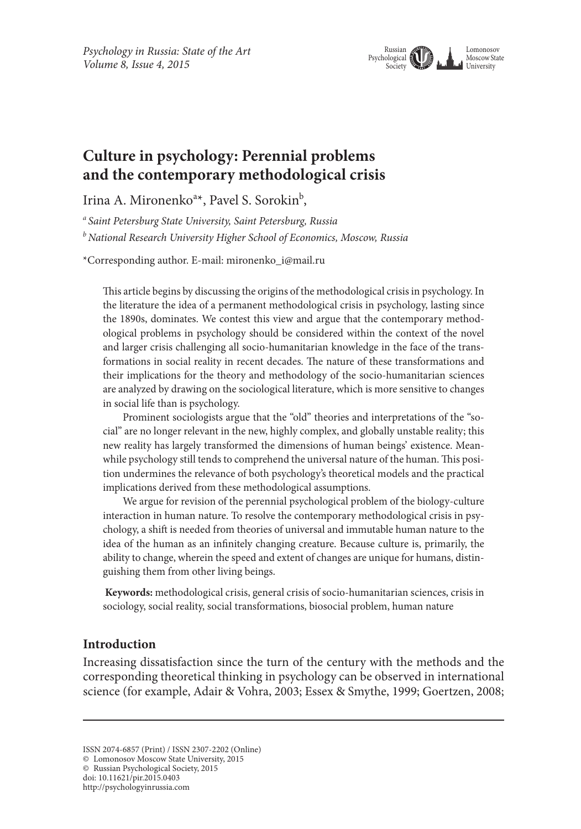

# **Culture in psychology: Perennial problems and the contemporary methodological crisis**

Irina A. Mironenko<sup>a\*</sup>, Pavel S. Sorokin<sup>b</sup>,

*a Saint Petersburg State University, Saint Petersburg, Russia*

*b National Research University Higher School of Economics, Moscow, Russia*

\*Corresponding author. E-mail: mironenko\_i@mail.ru

This article begins by discussing the origins of the methodological crisis in psychology. In the literature the idea of a permanent methodological crisis in psychology, lasting since the 1890s, dominates. We contest this view and argue that the contemporary methodological problems in psychology should be considered within the context of the novel and larger crisis challenging all socio-humanitarian knowledge in the face of the transformations in social reality in recent decades. The nature of these transformations and their implications for the theory and methodology of the socio-humanitarian sciences are analyzed by drawing on the sociological literature, which is more sensitive to changes in social life than is psychology.

Prominent sociologists argue that the "old" theories and interpretations of the "social" are no longer relevant in the new, highly complex, and globally unstable reality; this new reality has largely transformed the dimensions of human beings' existence. Meanwhile psychology still tends to comprehend the universal nature of the human. This position undermines the relevance of both psychology's theoretical models and the practical implications derived from these methodological assumptions.

We argue for revision of the perennial psychological problem of the biology-culture interaction in human nature. To resolve the contemporary methodological crisis in psychology, a shift is needed from theories of universal and immutable human nature to the idea of the human as an infinitely changing creature. Because culture is, primarily, the ability to change, wherein the speed and extent of changes are unique for humans, distinguishing them from other living beings.

**Keywords:** methodological crisis, general crisis of socio-humanitarian sciences, crisis in sociology, social reality, social transformations, biosocial problem, human nature

# **Introduction**

Increasing dissatisfaction since the turn of the century with the methods and the corresponding theoretical thinking in psychology can be observed in international science (for example, Adair & Vohra, 2003; Essex & Smythe, 1999; Goertzen, 2008;

© Russian Psychological Society, 2015

ISSN 2074-6857 (Print) / ISSN 2307-2202 (Online)

<sup>©</sup> Lomonosov Moscow State University, 2015

doi: 10.11621/pir.2015.0403

http://psychologyinrussia.com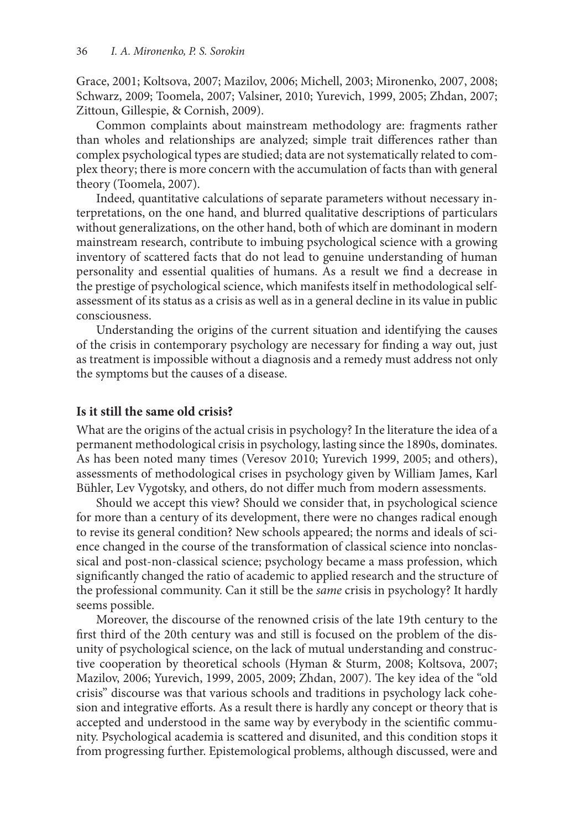Grace, 2001; Koltsova, 2007; Mazilov, 2006; Michell, 2003; Mironenko, 2007, 2008; Schwarz, 2009; Toomela, 2007; Valsiner, 2010; Yurevich, 1999, 2005; Zhdan, 2007; Zittoun, Gillespie, & Cornish, 2009).

Common complaints about mainstream methodology are: fragments rather than wholes and relationships are analyzed; simple trait differences rather than complex psychological types are studied; data are not systematically related to complex theory; there is more concern with the accumulation of facts than with general theory (Toomela, 2007).

Indeed, quantitative calculations of separate parameters without necessary interpretations, on the one hand, and blurred qualitative descriptions of particulars without generalizations, on the other hand, both of which are dominant in modern mainstream research, contribute to imbuing psychological science with a growing inventory of scattered facts that do not lead to genuine understanding of human personality and essential qualities of humans. As a result we find a decrease in the prestige of psychological science, which manifests itself in methodological selfassessment of its status as a crisis as well as in a general decline in its value in public consciousness.

Understanding the origins of the current situation and identifying the causes of the crisis in contemporary psychology are necessary for finding a way out, just as treatment is impossible without a diagnosis and a remedy must address not only the symptoms but the causes of a disease.

#### **Is it still the same old crisis?**

What are the origins of the actual crisis in psychology? In the literature the idea of a permanent methodological crisis in psychology, lasting since the 1890s, dominates. As has been noted many times (Veresov 2010; Yurevich 1999, 2005; and others), assessments of methodological crises in psychology given by William James, Karl Bühler, Lev Vygotsky, and others, do not differ much from modern assessments.

Should we accept this view? Should we consider that, in psychological science for more than a century of its development, there were no changes radical enough to revise its general condition? New schools appeared; the norms and ideals of science changed in the course of the transformation of classical science into nonclassical and post-non-classical science; psychology became a mass profession, which significantly changed the ratio of academic to applied research and the structure of the professional community. Can it still be the *same* crisis in psychology? It hardly seems possible.

Moreover, the discourse of the renowned crisis of the late 19th century to the first third of the 20th century was and still is focused on the problem of the disunity of psychological science, on the lack of mutual understanding and constructive cooperation by theoretical schools (Hyman & Sturm, 2008; Koltsova, 2007; Mazilov, 2006; Yurevich, 1999, 2005, 2009; Zhdan, 2007). The key idea of the "old crisis" discourse was that various schools and traditions in psychology lack cohesion and integrative efforts. As a result there is hardly any concept or theory that is accepted and understood in the same way by everybody in the scientific community. Psychological academia is scattered and disunited, and this condition stops it from progressing further. Epistemological problems, although discussed, were and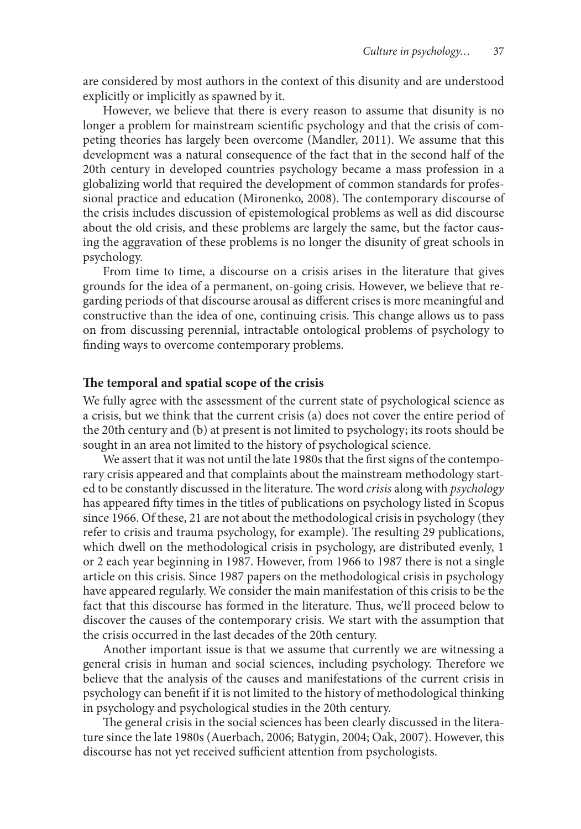are considered by most authors in the context of this disunity and are understood explicitly or implicitly as spawned by it.

However, we believe that there is every reason to assume that disunity is no longer a problem for mainstream scientific psychology and that the crisis of competing theories has largely been overcome (Mandler, 2011). We assume that this development was a natural consequence of the fact that in the second half of the 20th century in developed countries psychology became a mass profession in a globalizing world that required the development of common standards for professional practice and education (Mironenko, 2008). The contemporary discourse of the crisis includes discussion of epistemological problems as well as did discourse about the old crisis, and these problems are largely the same, but the factor causing the aggravation of these problems is no longer the disunity of great schools in psychology.

From time to time, a discourse on a crisis arises in the literature that gives grounds for the idea of a permanent, on-going crisis. However, we believe that regarding periods of that discourse arousal as different crises is more meaningful and constructive than the idea of one, continuing crisis. This change allows us to pass on from discussing perennial, intractable ontological problems of psychology to finding ways to overcome contemporary problems.

### **The temporal and spatial scope of the crisis**

We fully agree with the assessment of the current state of psychological science as a crisis, but we think that the current crisis (a) does not cover the entire period of the 20th century and (b) at present is not limited to psychology; its roots should be sought in an area not limited to the history of psychological science.

We assert that it was not until the late 1980s that the first signs of the contemporary crisis appeared and that complaints about the mainstream methodology started to be constantly discussed in the literature. The word *crisis* along with *psychology* has appeared fifty times in the titles of publications on psychology listed in Scopus since 1966. Of these, 21 are not about the methodological crisis in psychology (they refer to crisis and trauma psychology, for example). The resulting 29 publications, which dwell on the methodological crisis in psychology, are distributed evenly, 1 or 2 each year beginning in 1987. However, from 1966 to 1987 there is not a single article on this crisis. Since 1987 papers on the methodological crisis in psychology have appeared regularly. We consider the main manifestation of this crisis to be the fact that this discourse has formed in the literature. Thus, we'll proceed below to discover the causes of the contemporary crisis. We start with the assumption that the crisis occurred in the last decades of the 20th century.

Another important issue is that we assume that currently we are witnessing a general crisis in human and social sciences, including psychology. Therefore we believe that the analysis of the causes and manifestations of the current crisis in psychology can benefit if it is not limited to the history of methodological thinking in psychology and psychological studies in the 20th century.

The general crisis in the social sciences has been clearly discussed in the literature since the late 1980s (Auerbach, 2006; Batygin, 2004; Oak, 2007). However, this discourse has not yet received sufficient attention from psychologists.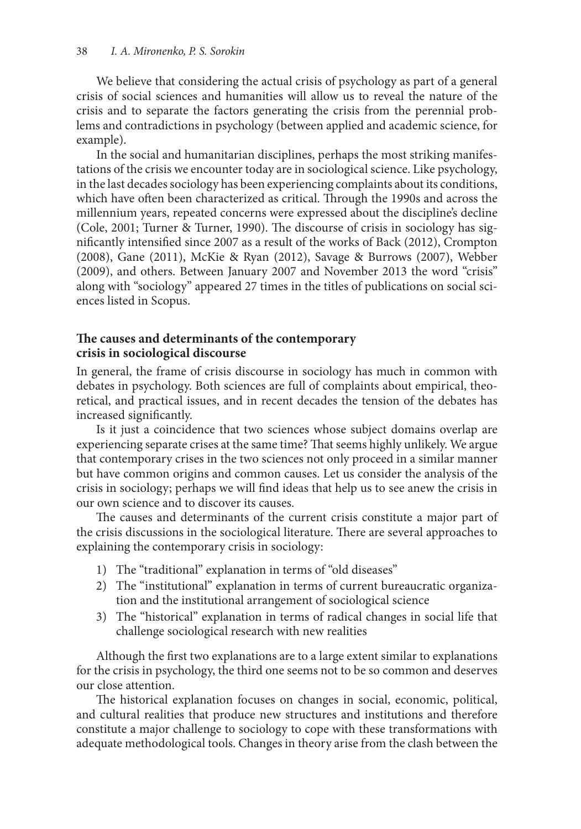We believe that considering the actual crisis of psychology as part of a general crisis of social sciences and humanities will allow us to reveal the nature of the crisis and to separate the factors generating the crisis from the perennial problems and contradictions in psychology (between applied and academic science, for example).

In the social and humanitarian disciplines, perhaps the most striking manifestations of the crisis we encounter today are in sociological science. Like psychology, in the last decades sociology has been experiencing complaints about its conditions, which have often been characterized as critical. Through the 1990s and across the millennium years, repeated concerns were expressed about the discipline's decline (Cole, 2001; Turner & Turner, 1990). The discourse of crisis in sociology has significantly intensified since 2007 as a result of the works of Back (2012), Crompton (2008), Gane (2011), McKie & Ryan (2012), Savage & Burrows (2007), Webber (2009), and others. Between January 2007 and November 2013 the word "crisis" along with "sociology" appeared 27 times in the titles of publications on social sciences listed in Scopus.

## **The causes and determinants of the contemporary crisis in sociological discourse**

In general, the frame of crisis discourse in sociology has much in common with debates in psychology. Both sciences are full of complaints about empirical, theoretical, and practical issues, and in recent decades the tension of the debates has increased significantly.

Is it just a coincidence that two sciences whose subject domains overlap are experiencing separate crises at the same time? That seems highly unlikely. We argue that contemporary crises in the two sciences not only proceed in a similar manner but have common origins and common causes. Let us consider the analysis of the crisis in sociology; perhaps we will find ideas that help us to see anew the crisis in our own science and to discover its causes.

The causes and determinants of the current crisis constitute a major part of the crisis discussions in the sociological literature. There are several approaches to explaining the contemporary crisis in sociology:

- 1) The "traditional" explanation in terms of "old diseases"
- 2) The "institutional" explanation in terms of current bureaucratic organization and the institutional arrangement of sociological science
- 3) The "historical" explanation in terms of radical changes in social life that challenge sociological research with new realities

Although the first two explanations are to a large extent similar to explanations for the crisis in psychology, the third one seems not to be so common and deserves our close attention.

The historical explanation focuses on changes in social, economic, political, and cultural realities that produce new structures and institutions and therefore constitute a major challenge to sociology to cope with these transformations with adequate methodological tools. Changes in theory arise from the clash between the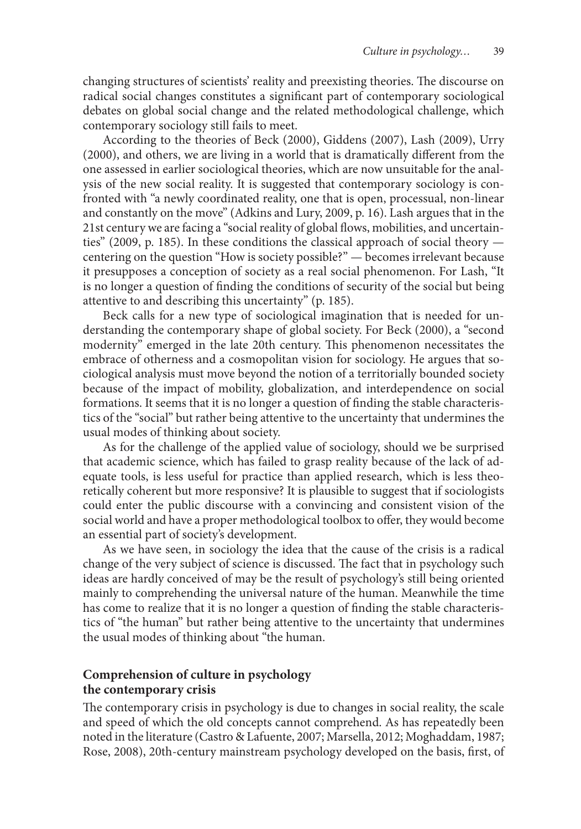changing structures of scientists' reality and preexisting theories. The discourse on radical social changes constitutes a significant part of contemporary sociological debates on global social change and the related methodological challenge, which contemporary sociology still fails to meet.

According to the theories of Beck (2000), Giddens (2007), Lash (2009), Urry (2000), and others, we are living in a world that is dramatically different from the one assessed in earlier sociological theories, which are now unsuitable for the analysis of the new social reality. It is suggested that contemporary sociology is confronted with "a newly coordinated reality, one that is open, processual, non-linear and constantly on the move" (Adkins and Lury, 2009, p. 16). Lash argues that in the 21st century we are facing a "social reality of global flows, mobilities, and uncertainties" (2009, p. 185). In these conditions the classical approach of social theory centering on the question "How is society possible?" — becomes irrelevant because it presupposes a conception of society as a real social phenomenon. For Lash, "It is no longer a question of finding the conditions of security of the social but being attentive to and describing this uncertainty" (p. 185).

Beck calls for a new type of sociological imagination that is needed for understanding the contemporary shape of global society. For Beck (2000), a "second modernity" emerged in the late 20th century. This phenomenon necessitates the embrace of otherness and a cosmopolitan vision for sociology. He argues that sociological analysis must move beyond the notion of a territorially bounded society because of the impact of mobility, globalization, and interdependence on social formations. It seems that it is no longer a question of finding the stable characteristics of the "social" but rather being attentive to the uncertainty that undermines the usual modes of thinking about society.

As for the challenge of the applied value of sociology, should we be surprised that academic science, which has failed to grasp reality because of the lack of adequate tools, is less useful for practice than applied research, which is less theoretically coherent but more responsive? It is plausible to suggest that if sociologists could enter the public discourse with a convincing and consistent vision of the social world and have a proper methodological toolbox to offer, they would become an essential part of society's development.

As we have seen, in sociology the idea that the cause of the crisis is a radical change of the very subject of science is discussed. The fact that in psychology such ideas are hardly conceived of may be the result of psychology's still being oriented mainly to comprehending the universal nature of the human. Meanwhile the time has come to realize that it is no longer a question of finding the stable characteristics of "the human" but rather being attentive to the uncertainty that undermines the usual modes of thinking about "the human.

# **Comprehension of culture in psychology the contemporary crisis**

The contemporary crisis in psychology is due to changes in social reality, the scale and speed of which the old concepts cannot comprehend. As has repeatedly been noted in the literature (Castro & Lafuente, 2007; Marsella, 2012; Moghaddam, 1987; Rose, 2008), 20th-century mainstream psychology developed on the basis, first, of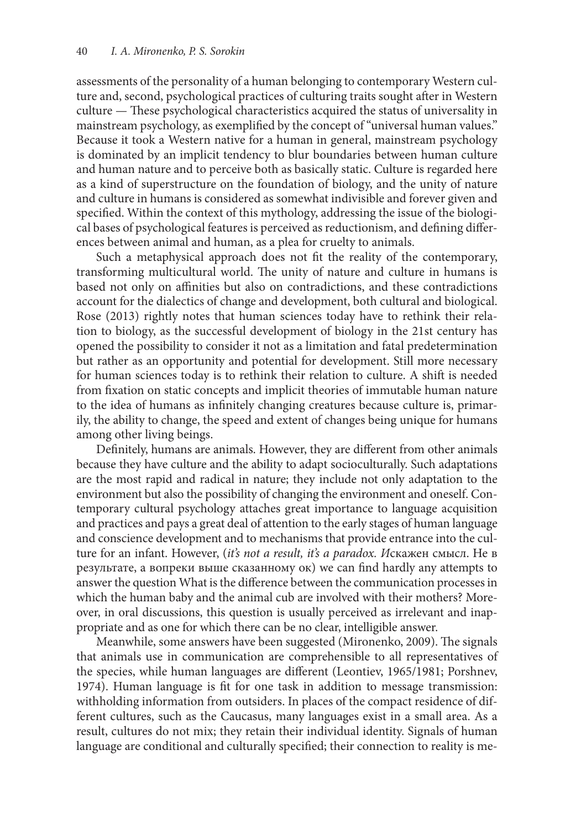assessments of the personality of a human belonging to contemporary Western culture and, second, psychological practices of culturing traits sought after in Western culture — These psychological characteristics acquired the status of universality in mainstream psychology, as exemplified by the concept of "universal human values." Because it took a Western native for a human in general, mainstream psychology is dominated by an implicit tendency to blur boundaries between human culture and human nature and to perceive both as basically static. Culture is regarded here as a kind of superstructure on the foundation of biology, and the unity of nature and culture in humans is considered as somewhat indivisible and forever given and specified. Within the context of this mythology, addressing the issue of the biological bases of psychological features is perceived as reductionism, and defining differences between animal and human, as a plea for cruelty to animals.

Such a metaphysical approach does not fit the reality of the contemporary, transforming multicultural world. The unity of nature and culture in humans is based not only on affinities but also on contradictions, and these contradictions account for the dialectics of change and development, both cultural and biological. Rose (2013) rightly notes that human sciences today have to rethink their relation to biology, as the successful development of biology in the 21st century has opened the possibility to consider it not as a limitation and fatal predetermination but rather as an opportunity and potential for development. Still more necessary for human sciences today is to rethink their relation to culture. A shift is needed from fixation on static concepts and implicit theories of immutable human nature to the idea of humans as infinitely changing creatures because culture is, primarily, the ability to change, the speed and extent of changes being unique for humans among other living beings.

Definitely, humans are animals. However, they are different from other animals because they have culture and the ability to adapt socioculturally. Such adaptations are the most rapid and radical in nature; they include not only adaptation to the environment but also the possibility of changing the environment and oneself. Contemporary cultural psychology attaches great importance to language acquisition and practices and pays a great deal of attention to the early stages of human language and conscience development and to mechanisms that provide entrance into the culture for an infant. However, (*it's not a result, it's a paradox. И*скажен смысл. Не в результате, а вопреки выше сказанному ок) we can find hardly any attempts to answer the question What is the difference between the communication processes in which the human baby and the animal cub are involved with their mothers? Moreover, in oral discussions, this question is usually perceived as irrelevant and inappropriate and as one for which there can be no clear, intelligible answer.

Meanwhile, some answers have been suggested (Mironenko, 2009). The signals that animals use in communication are comprehensible to all representatives of the species, while human languages are different (Leontiev, 1965/1981; Porshnev, 1974). Human language is fit for one task in addition to message transmission: withholding information from outsiders. In places of the compact residence of different cultures, such as the Caucasus, many languages exist in a small area. As a result, cultures do not mix; they retain their individual identity. Signals of human language are conditional and culturally specified; their connection to reality is me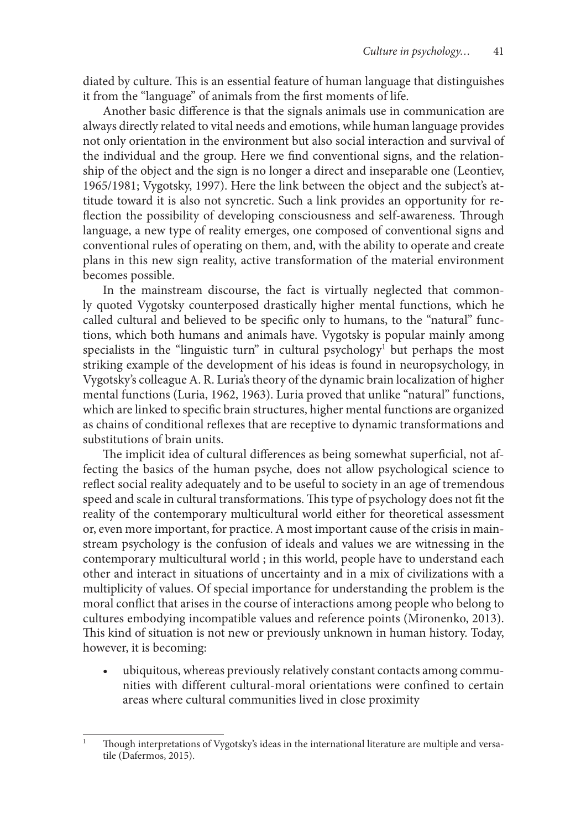diated by culture. This is an essential feature of human language that distinguishes it from the "language" of animals from the first moments of life.

Another basic difference is that the signals animals use in communication are always directly related to vital needs and emotions, while human language provides not only orientation in the environment but also social interaction and survival of the individual and the group. Here we find conventional signs, and the relationship of the object and the sign is no longer a direct and inseparable one (Leontiev, 1965/1981; Vygotsky, 1997). Here the link between the object and the subject's attitude toward it is also not syncretic. Such a link provides an opportunity for reflection the possibility of developing consciousness and self-awareness. Through language, a new type of reality emerges, one composed of conventional signs and conventional rules of operating on them, and, with the ability to operate and create plans in this new sign reality, active transformation of the material environment becomes possible.

In the mainstream discourse, the fact is virtually neglected that commonly quoted Vygotsky counterposed drastically higher mental functions, which he called cultural and believed to be specific only to humans, to the "natural" functions, which both humans and animals have. Vygotsky is popular mainly among specialists in the "linguistic turn" in cultural psychology<sup>1</sup> but perhaps the most striking example of the development of his ideas is found in neuropsychology, in Vygotsky's colleague A. R. Luria's theory of the dynamic brain localization of higher mental functions (Luria, 1962, 1963). Luria proved that unlike "natural" functions, which are linked to specific brain structures, higher mental functions are organized as chains of conditional reflexes that are receptive to dynamic transformations and substitutions of brain units.

The implicit idea of cultural differences as being somewhat superficial, not affecting the basics of the human psyche, does not allow psychological science to reflect social reality adequately and to be useful to society in an age of tremendous speed and scale in cultural transformations. This type of psychology does not fit the reality of the contemporary multicultural world either for theoretical assessment or, even more important, for practice. A most important cause of the crisis in mainstream psychology is the confusion of ideals and values we are witnessing in the contemporary multicultural world ; in this world, people have to understand each other and interact in situations of uncertainty and in a mix of civilizations with a multiplicity of values. Of special importance for understanding the problem is the moral conflict that arises in the course of interactions among people who belong to cultures embodying incompatible values and reference points (Mironenko, 2013). This kind of situation is not new or previously unknown in human history. Today, however, it is becoming:

ubiquitous, whereas previously relatively constant contacts among communities with different cultural-moral orientations were confined to certain areas where cultural communities lived in close proximity

<sup>&</sup>lt;sup>1</sup> Though interpretations of Vygotsky's ideas in the international literature are multiple and versatile (Dafermos, 2015).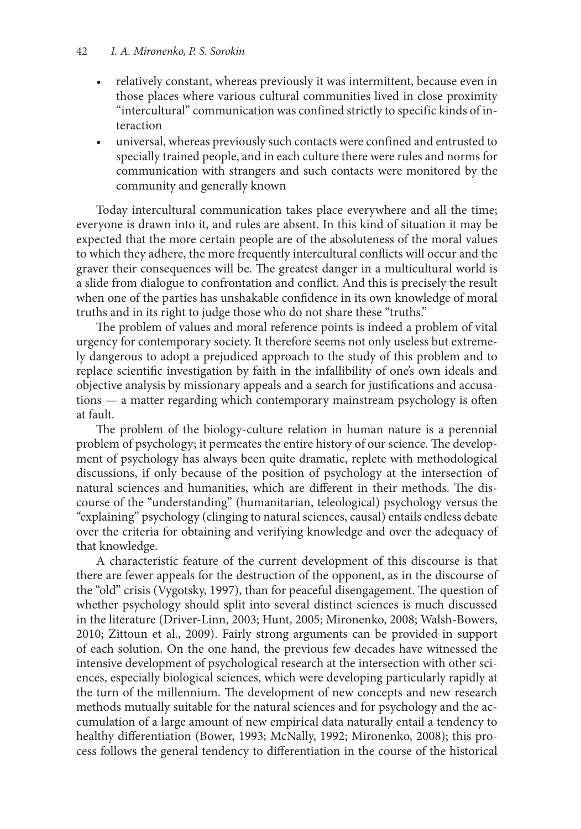- relatively constant, whereas previously it was intermittent, because even in those places where various cultural communities lived in close proximity "intercultural" communication was confined strictly to specific kinds of interaction
- universal, whereas previously such contacts were confined and entrusted to specially trained people, and in each culture there were rules and norms for communication with strangers and such contacts were monitored by the community and generally known

Today intercultural communication takes place everywhere and all the time; everyone is drawn into it, and rules are absent. In this kind of situation it may be expected that the more certain people are of the absoluteness of the moral values to which they adhere, the more frequently intercultural conflicts will occur and the graver their consequences will be. The greatest danger in a multicultural world is a slide from dialogue to confrontation and conflict. And this is precisely the result when one of the parties has unshakable confidence in its own knowledge of moral truths and in its right to judge those who do not share these "truths."

The problem of values and moral reference points is indeed a problem of vital urgency for contemporary society. It therefore seems not only useless but extremely dangerous to adopt a prejudiced approach to the study of this problem and to replace scientific investigation by faith in the infallibility of one's own ideals and objective analysis by missionary appeals and a search for justifications and accusations — a matter regarding which contemporary mainstream psychology is often at fault.

The problem of the biology-culture relation in human nature is a perennial problem of psychology; it permeates the entire history of our science. The development of psychology has always been quite dramatic, replete with methodological discussions, if only because of the position of psychology at the intersection of natural sciences and humanities, which are different in their methods. The discourse of the "understanding" (humanitarian, teleological) psychology versus the "explaining" psychology (clinging to natural sciences, causal) entails endless debate over the criteria for obtaining and verifying knowledge and over the adequacy of that knowledge.

A characteristic feature of the current development of this discourse is that there are fewer appeals for the destruction of the opponent, as in the discourse of the "old" crisis (Vygotsky, 1997), than for peaceful disengagement. The question of whether psychology should split into several distinct sciences is much discussed in the literature (Driver-Linn, 2003; Hunt, 2005; Mironenko, 2008; Walsh-Bowers, 2010; Zittoun et al., 2009). Fairly strong arguments can be provided in support of each solution. On the one hand, the previous few decades have witnessed the intensive development of psychological research at the intersection with other sciences, especially biological sciences, which were developing particularly rapidly at the turn of the millennium. The development of new concepts and new research methods mutually suitable for the natural sciences and for psychology and the accumulation of a large amount of new empirical data naturally entail a tendency to healthy differentiation (Bower, 1993; McNally, 1992; Мironenko, 2008); this process follows the general tendency to differentiation in the course of the historical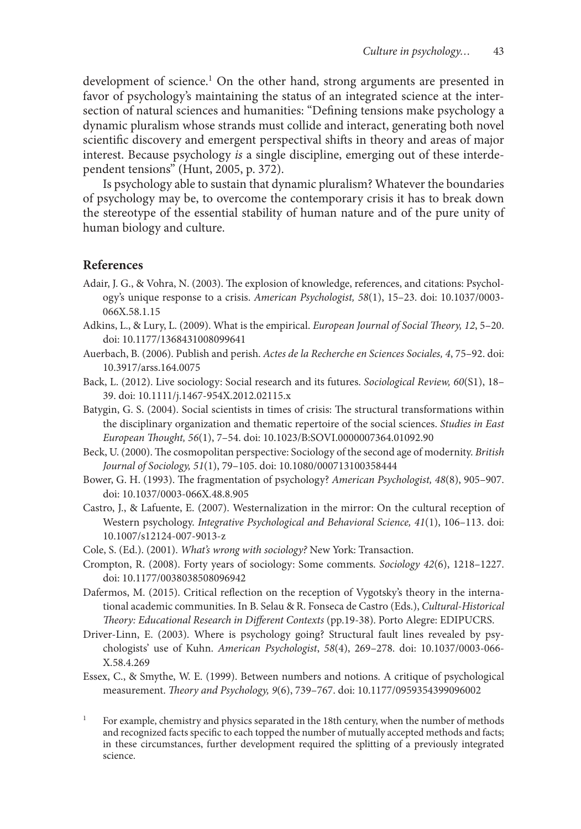development of science.<sup>1</sup> On the other hand, strong arguments are presented in favor of psychology's maintaining the status of an integrated science at the intersection of natural sciences and humanities: "Defining tensions make psychology a dynamic pluralism whose strands must collide and interact, generating both novel scientific discovery and emergent perspectival shifts in theory and areas of major interest. Because psychology *is* a single discipline, emerging out of these interdependent tensions" (Hunt, 2005, p. 372).

Is psychology able to sustain that dynamic pluralism? Whatever the boundaries of psychology may be, to overcome the contemporary crisis it has to break down the stereotype of the essential stability of human nature and of the pure unity of human biology and culture.

#### **References**

- Adair, J. G., & Vohra, N. (2003). The explosion of knowledge, references, and citations: Psychology's unique response to a crisis. *American Psychologist, 58*(1), 15–23. doi: 10.1037/0003- 066X.58.1.15
- Adkins, L., & Lury, L. (2009). What is the empirical. *European Journal of Social Theory, 12*, 5–20. doi: 10.1177/1368431008099641
- Auerbach, B. (2006). Publish and perish. *Actes de la Recherche en Sciences Sociales, 4*, 75–92. doi: 10.3917/arss.164.0075
- Back, L. (2012). Live sociology: Social research and its futures. *Sociological Review, 60*(S1), 18– 39. doi: 10.1111/j.1467-954X.2012.02115.x
- Batygin, G. S. (2004). Social scientists in times of crisis: The structural transformations within the disciplinary organization and thematic repertoire of the social sciences. *Studies in East European Thought, 56*(1), 7–54. doi: 10.1023/B:SOVI.0000007364.01092.90
- Beck, U. (2000). The cosmopolitan perspective: Sociology of the second age of modernity. *British Journal of Sociology, 51*(1), 79–105. doi: 10.1080/000713100358444
- Bower, G. H. (1993). The fragmentation of psychology? *American Psychologist, 48*(8), 905–907. doi: 10.1037/0003-066X.48.8.905
- Castro, J., & Lafuente, E. (2007). Westernalization in the mirror: On the cultural reception of Western psychology. *Integrative Psychological and Behavioral Science, 41*(1), 106–113. doi: 10.1007/s12124-007-9013-z
- Cole, S. (Ed.). (2001). *What's wrong with sociology?* New York: Transaction.
- Crompton, R. (2008). Forty years of sociology: Some comments. *Sociology 42*(6), 1218–1227. doi: 10.1177/0038038508096942
- Dafermos, M. (2015). Critical reflection on the reception of Vygotsky's theory in the international academic communities. In B. Selau & R. Fonseca de Castro (Eds.), *Cultural-Historical Theory: Educational Research in Different Contexts* (pp.19-38). Porto Alegre: EDIPUCRS.
- Driver-Linn, E. (2003). Where is psychology going? Structural fault lines revealed by psychologists' use of Kuhn. *American Psychologist*, *58*(4), 269–278. doi: 10.1037/0003-066- X.58.4.269
- Essex, C., & Smythe, W. E. (1999). Between numbers and notions. A critique of psychological measurement. *Theory and Psychology, 9*(6), 739–767. doi: 10.1177/0959354399096002
- <sup>1</sup> For example, chemistry and physics separated in the 18th century, when the number of methods and recognized facts specific to each topped the number of mutually accepted methods and facts; in these circumstances, further development required the splitting of a previously integrated science.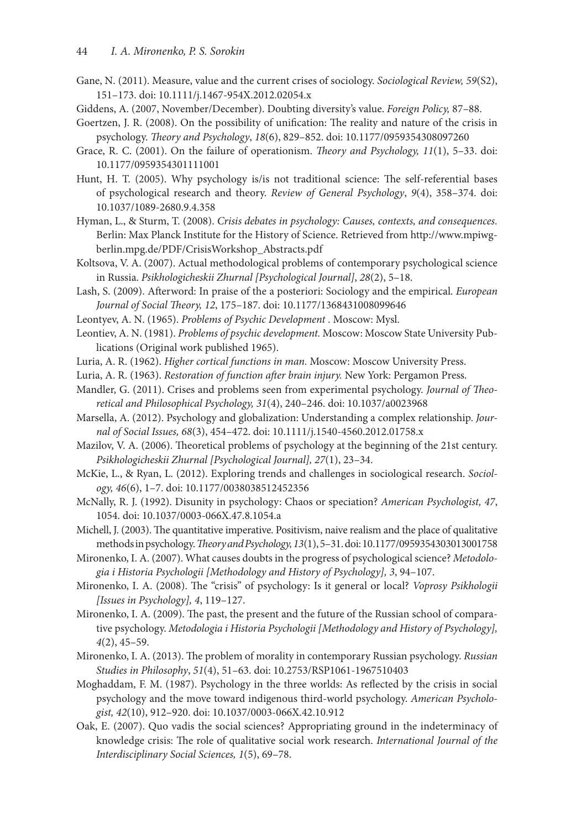- Gane, N. (2011). Measure, value and the current crises of sociology. *Sociological Review, 59*(S2), 151–173. doi: 10.1111/j.1467-954X.2012.02054.x
- Giddens, A. (2007, November/December). Doubting diversity's value. *Foreign Policy,* 87–88.
- Goertzen, J. R. (2008). On the possibility of unification: The reality and nature of the crisis in psychology. *Theory and Psychology*, *18*(6), 829–852. doi: 10.1177/0959354308097260
- Grace, R. C. (2001). On the failure of operationism. *Theory and Psychology, 11*(1), 5–33. doi: 10.1177/0959354301111001
- Hunt, H. T. (2005). Why psychology is/is not traditional science: The self-referential bases of psychological research and theory. *Review of General Psychology*, *9*(4), 358–374. doi: 10.1037/1089-2680.9.4.358
- Hyman, L., & Sturm, T. (2008). *Crisis debates in psychology: Causes, contexts, and consequences.* Berlin: Max Planck Institute for the History of Science. Retrieved from http://www.mpiwgberlin.mpg.de/PDF/CrisisWorkshop\_Abstracts.pdf
- Koltsova, V. A. (2007). Actual methodological problems of contemporary psychological science in Russia. *Psikhologicheskii Zhurnal [Psychological Journal]*, *28*(2), 5–18.
- Lash, S. (2009). Afterword: In praise of the a posteriori: Sociology and the empirical. *European Journal of Social Theory, 12*, 175–187. doi: 10.1177/1368431008099646
- Leontyev, A. N. (1965). *Problems of Psychic Development* . Moscow: Mysl.
- Leontiev, A. N. (1981). *Problems of psychic development.* Moscow: Moscow State University Publications (Original work published 1965).
- Luria, A. R. (1962). *Higher cortical functions in man.* Moscow: Moscow University Press.
- Luria, A. R. (1963). *Restoration of function after brain injury.* New York: Pergamon Press.
- Mandler, G. (2011). Crises and problems seen from experimental psychology. *Journal of Theoretical and Philosophical Psychology, 31*(4), 240–246. doi: 10.1037/a0023968
- Marsella, A. (2012). Psychology and globalization: Understanding a complex relationship. *Journal of Social Issues, 68*(3), 454–472. doi: 10.1111/j.1540-4560.2012.01758.x
- Mazilov, V. A. (2006). Theoretical problems of psychology at the beginning of the 21st century. *Psikhologicheskii Zhurnal [Psychological Journal], 27*(1), 23–34.
- McKie, L., & Ryan, L. (2012). Exploring trends and challenges in sociological research. *Sociology, 46*(6), 1–7. doi: 10.1177/0038038512452356
- McNally, R. J. (1992). Disunity in psychology: Chaos or speciation? *American Psychologist, 47*, 1054. doi: 10.1037/0003-066X.47.8.1054.a
- Michell, J. (2003). The quantitative imperative. Positivism, naive realism and the place of qualitative methods in psychology. *Theory and Psychology, 13*(1), 5–31. doi: 10.1177/0959354303013001758
- Mironenko, I. A. (2007). What causes doubts in the progress of psychological science? *Metodologia i Historia Psychologii [Methodology and History of Psychology], 3*, 94–107.
- Mironenko, I. A. (2008). The "crisis" of psychology: Is it general or local? *Voprosy Psikhologii [Issues in Psychology], 4*, 119–127.
- Mironenko, I. A. (2009). The past, the present and the future of the Russian school of comparative psychology. *Metodologia i Historia Psychologii [Methodology and History of Psychology], 4*(2), 45–59.
- Mironenko, I. A. (2013). The problem of morality in contemporary Russian psychology. *Russian Studies in Philosophy*, *51*(4), 51–63. doi: 10.2753/RSP1061-1967510403
- Moghaddam, F. M. (1987). Psychology in the three worlds: As reflected by the crisis in social psychology and the move toward indigenous third-world psychology. *American Psychologist, 42*(10), 912–920. doi: 10.1037/0003-066X.42.10.912
- Oak, E. (2007). Quo vadis the social sciences? Appropriating ground in the indeterminacy of knowledge crisis: The role of qualitative social work research. *International Journal of the Interdisciplinary Social Sciences, 1*(5), 69–78.